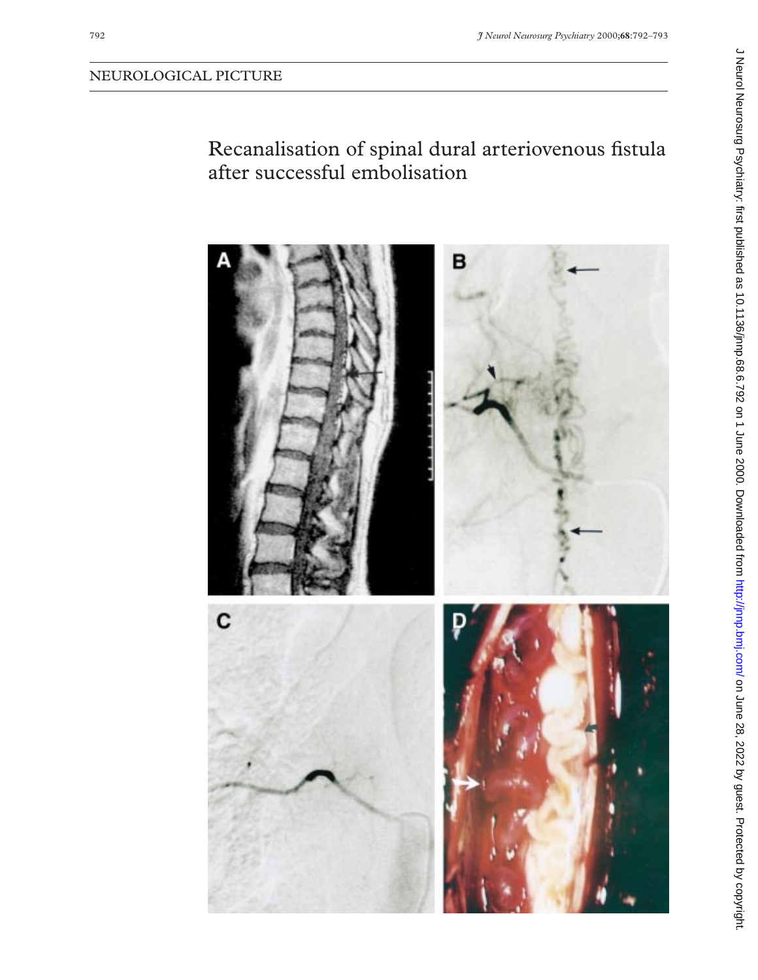# Recanalisation of spinal dural arteriovenous fistula after successful embolisation